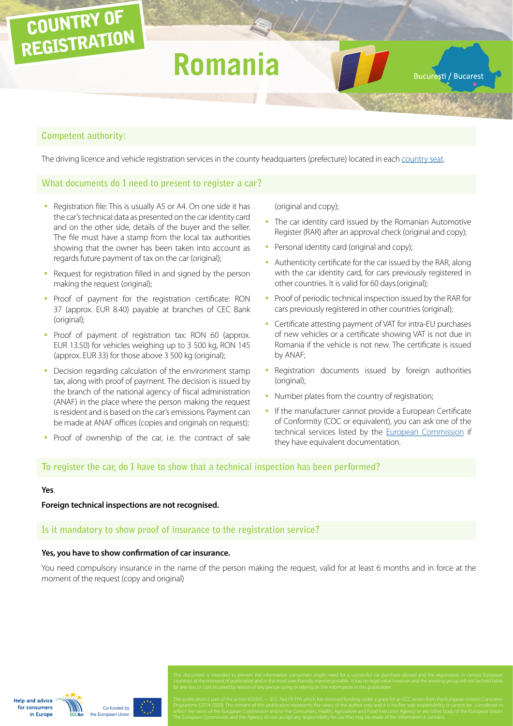# COUNTRY OF REGISTRATION

# **Romania**

Bucuresti / Bucarest

### **Competent authority:**

The driving licence and vehicle registration services in the county headquarters (prefecture) located in each [country seat.](http://gov.ro/ro/guvernul/organizare/prefecturi)

### **What documents do I need to present to register a car?**

- Registration file: This is usually A5 or A4. On one side it has the car's technical data as presented on the car identity card and on the other side, details of the buyer and the seller. The file must have a stamp from the local tax authorities showing that the owner has been taken into account as regards future payment of tax on the car (original);
- Request for registration filled in and signed by the person making the request (original);
- Proof of payment for the registration certificate: RON 37 (approx. EUR 8.40) payable at branches of CEC Bank (original);
- Proof of payment of registration tax: RON 60 (approx. EUR 13.50) for vehicles weighing up to 3 500 kg, RON 145 (approx. EUR 33) for those above 3 500 kg (original);
- Decision regarding calculation of the environment stamp tax, along with proof of payment. The decision is issued by the branch of the national agency of fiscal administration (ANAF) in the place where the person making the request is resident and is based on the car's emissions. Payment can be made at ANAF offices (copies and originals on request);
- Proof of ownership of the car, i.e. the contract of sale

(original and copy);

- The car identity card issued by the Romanian Automotive Register (RAR) after an approval check (original and copy);
- Personal identity card (original and copy);
- Authenticity certificate for the car issued by the RAR, along with the car identity card, for cars previously registered in other countries. It is valid for 60 days.(original);
- Proof of periodic technical inspection issued by the RAR for cars previously registered in other countries (original);
- Certificate attesting payment of VAT for intra-EU purchases of new vehicles or a certificate showing VAT is not due in Romania if the vehicle is not new. The certificate is issued by ANAF;
- Registration documents issued by foreign authorities (original);
- Number plates from the country of registration;
- If the manufacturer cannot provide a European Certificate of Conformity (COC or equivalent), you can ask one of the technical services listed by the [European Commission](http://ec.europa.eu/DocsRoom/documents?tags=technical-service-auto&pageSize=30&sortCol=title&sortOrder=asc) if they have equivalent documentation.

#### **To register the car, do I have to show that a technical inspection has been performed?**

#### **Yes**.

**Foreign technical inspections are not recognised.**

#### **Is it mandatory to show proof of insurance to the registration service?**

#### **Yes, you have to show confirmation of car insurance.**

You need compulsory insurance in the name of the person making the request, valid for at least 6 months and in force at the moment of the request (copy and original)